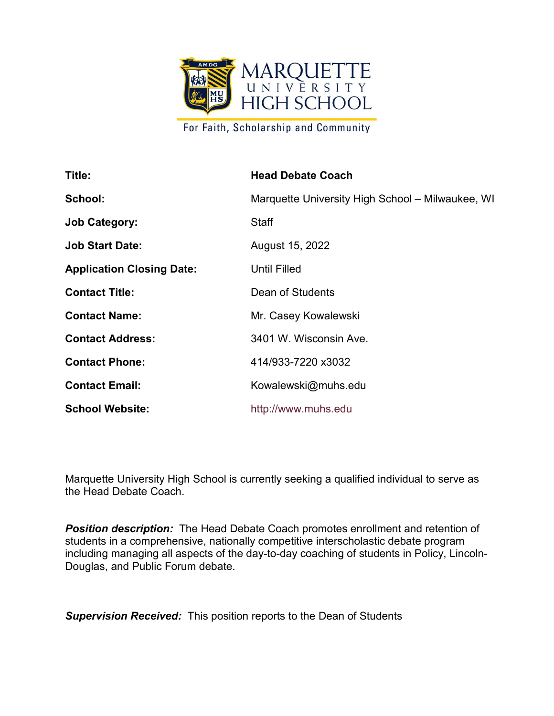

For Faith, Scholarship and Community

| Title:                           | <b>Head Debate Coach</b>                         |
|----------------------------------|--------------------------------------------------|
| School:                          | Marquette University High School - Milwaukee, WI |
| <b>Job Category:</b>             | <b>Staff</b>                                     |
| <b>Job Start Date:</b>           | August 15, 2022                                  |
| <b>Application Closing Date:</b> | <b>Until Filled</b>                              |
| <b>Contact Title:</b>            | Dean of Students                                 |
| <b>Contact Name:</b>             | Mr. Casey Kowalewski                             |
| <b>Contact Address:</b>          | 3401 W. Wisconsin Ave.                           |
| <b>Contact Phone:</b>            | 414/933-7220 x3032                               |
| <b>Contact Email:</b>            | Kowalewski@muhs.edu                              |
| <b>School Website:</b>           | http://www.muhs.edu                              |

Marquette University High School is currently seeking a qualified individual to serve as the Head Debate Coach.

*Position description:* The Head Debate Coach promotes enrollment and retention of students in a comprehensive, nationally competitive interscholastic debate program including managing all aspects of the day-to-day coaching of students in Policy, Lincoln-Douglas, and Public Forum debate.

**Supervision Received:** This position reports to the Dean of Students